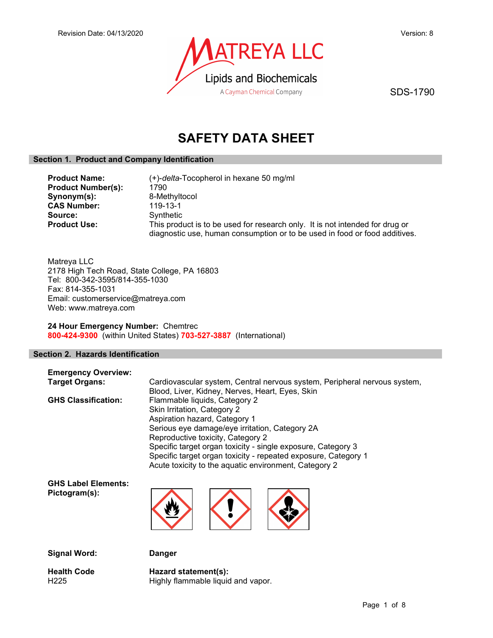

SDS-1790

# SAFETY DATA SHEET

# Section 1. Product and Company Identification

| <b>Product Name:</b>      | (+)-delta-Tocopherol in hexane 50 mg/ml                                                                                                                    |  |
|---------------------------|------------------------------------------------------------------------------------------------------------------------------------------------------------|--|
| <b>Product Number(s):</b> | 1790                                                                                                                                                       |  |
| Synonym(s):               | 8-Methyltocol                                                                                                                                              |  |
| <b>CAS Number:</b>        | 119-13-1                                                                                                                                                   |  |
| Source:                   | Synthetic                                                                                                                                                  |  |
| <b>Product Use:</b>       | This product is to be used for research only. It is not intended for drug or<br>diagnostic use, human consumption or to be used in food or food additives. |  |

Matreya LLC 2178 High Tech Road, State College, PA 16803 Tel: 800-342-3595/814-355-1030 Fax: 814-355-1031 Email: customerservice@matreya.com Web: www.matreya.com

24 Hour Emergency Number: Chemtrec 800-424-9300 (within United States) 703-527-3887 (International)

# Section 2. Hazards Identification

| <b>Emergency Overview:</b><br><b>Target Organs:</b> | Cardiovascular system, Central nervous system, Peripheral nervous system,                                               |
|-----------------------------------------------------|-------------------------------------------------------------------------------------------------------------------------|
|                                                     | Blood, Liver, Kidney, Nerves, Heart, Eyes, Skin                                                                         |
| <b>GHS Classification:</b>                          | Flammable liquids, Category 2                                                                                           |
|                                                     | Skin Irritation, Category 2                                                                                             |
|                                                     | Aspiration hazard, Category 1                                                                                           |
|                                                     | Serious eye damage/eye irritation, Category 2A                                                                          |
|                                                     | Reproductive toxicity, Category 2                                                                                       |
|                                                     | Specific target organ toxicity - single exposure, Category 3                                                            |
|                                                     | Specific target organ toxicity - repeated exposure, Category 1<br>Acute toxicity to the aquatic environment, Category 2 |

GHS Label Elements: Pictogram(s):



Signal Word: Danger

Health Code Hazard statement(s): H<sub>ighly</sub> flammable liquid and vapor.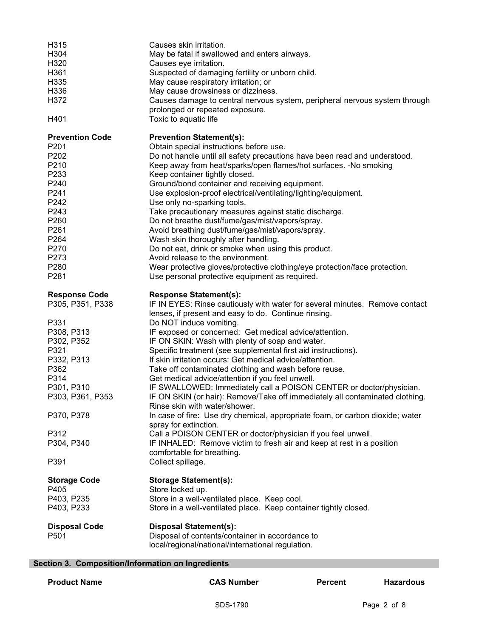| H304<br>May be fatal if swallowed and enters airways.<br>H320<br>Causes eye irritation.<br>H361<br>Suspected of damaging fertility or unborn child.<br>H335<br>May cause respiratory irritation; or<br>H336<br>May cause drowsiness or dizziness.<br>H372<br>Causes damage to central nervous system, peripheral nervous system through<br>prolonged or repeated exposure.<br>H401<br>Toxic to aquatic life<br><b>Prevention Code</b><br><b>Prevention Statement(s):</b><br>P201<br>Obtain special instructions before use.<br>P202<br>Do not handle until all safety precautions have been read and understood.<br>P210<br>Keep away from heat/sparks/open flames/hot surfaces. -No smoking<br>P233<br>Keep container tightly closed.<br>P240<br>Ground/bond container and receiving equipment.<br>P241<br>Use explosion-proof electrical/ventilating/lighting/equipment.<br>P242<br>Use only no-sparking tools.<br>P243<br>Take precautionary measures against static discharge.<br>P260<br>Do not breathe dust/fume/gas/mist/vapors/spray.<br>P261<br>Avoid breathing dust/fume/gas/mist/vapors/spray.<br>P264<br>Wash skin thoroughly after handling.<br>P270<br>Do not eat, drink or smoke when using this product.<br>P273<br>Avoid release to the environment.<br>P280<br>Wear protective gloves/protective clothing/eye protection/face protection.<br>P281<br>Use personal protective equipment as required.<br><b>Response Code</b><br><b>Response Statement(s):</b><br>P305, P351, P338<br>IF IN EYES: Rinse cautiously with water for several minutes. Remove contact<br>lenses, if present and easy to do. Continue rinsing.<br>P331<br>Do NOT induce vomiting.<br>P308, P313<br>IF exposed or concerned: Get medical advice/attention.<br>IF ON SKIN: Wash with plenty of soap and water.<br>P302, P352<br>P321<br>Specific treatment (see supplemental first aid instructions).<br>If skin irritation occurs: Get medical advice/attention.<br>P332, P313<br>P362<br>Take off contaminated clothing and wash before reuse.<br>P314<br>Get medical advice/attention if you feel unwell.<br>P301, P310<br>IF SWALLOWED: Immediately call a POISON CENTER or doctor/physician.<br>IF ON SKIN (or hair): Remove/Take off immediately all contaminated clothing.<br>P303, P361, P353<br>Rinse skin with water/shower.<br>In case of fire: Use dry chemical, appropriate foam, or carbon dioxide; water<br>P370, P378<br>spray for extinction.<br>P312<br>Call a POISON CENTER or doctor/physician if you feel unwell.<br>P304, P340<br>IF INHALED: Remove victim to fresh air and keep at rest in a position<br>comfortable for breathing.<br>Collect spillage.<br>P391<br><b>Storage Statement(s):</b><br><b>Storage Code</b><br>P405<br>Store locked up.<br>P403, P235<br>Store in a well-ventilated place. Keep cool.<br>P403, P233<br>Store in a well-ventilated place. Keep container tightly closed.<br><b>Disposal Statement(s):</b><br><b>Disposal Code</b><br>Disposal of contents/container in accordance to<br>P <sub>501</sub><br>local/regional/national/international regulation. | H315 | Causes skin irritation. |
|-----------------------------------------------------------------------------------------------------------------------------------------------------------------------------------------------------------------------------------------------------------------------------------------------------------------------------------------------------------------------------------------------------------------------------------------------------------------------------------------------------------------------------------------------------------------------------------------------------------------------------------------------------------------------------------------------------------------------------------------------------------------------------------------------------------------------------------------------------------------------------------------------------------------------------------------------------------------------------------------------------------------------------------------------------------------------------------------------------------------------------------------------------------------------------------------------------------------------------------------------------------------------------------------------------------------------------------------------------------------------------------------------------------------------------------------------------------------------------------------------------------------------------------------------------------------------------------------------------------------------------------------------------------------------------------------------------------------------------------------------------------------------------------------------------------------------------------------------------------------------------------------------------------------------------------------------------------------------------------------------------------------------------------------------------------------------------------------------------------------------------------------------------------------------------------------------------------------------------------------------------------------------------------------------------------------------------------------------------------------------------------------------------------------------------------------------------------------------------------------------------------------------------------------------------------------------------------------------------------------------------------------------------------------------------------------------------------------------------------------------------------------------------------------------------------------------------------------------------------------------------------------------------------------------------------------------------------------------------------------------------------------------------------------------------------------------------------------------------------|------|-------------------------|
|                                                                                                                                                                                                                                                                                                                                                                                                                                                                                                                                                                                                                                                                                                                                                                                                                                                                                                                                                                                                                                                                                                                                                                                                                                                                                                                                                                                                                                                                                                                                                                                                                                                                                                                                                                                                                                                                                                                                                                                                                                                                                                                                                                                                                                                                                                                                                                                                                                                                                                                                                                                                                                                                                                                                                                                                                                                                                                                                                                                                                                                                                                           |      |                         |
|                                                                                                                                                                                                                                                                                                                                                                                                                                                                                                                                                                                                                                                                                                                                                                                                                                                                                                                                                                                                                                                                                                                                                                                                                                                                                                                                                                                                                                                                                                                                                                                                                                                                                                                                                                                                                                                                                                                                                                                                                                                                                                                                                                                                                                                                                                                                                                                                                                                                                                                                                                                                                                                                                                                                                                                                                                                                                                                                                                                                                                                                                                           |      |                         |
|                                                                                                                                                                                                                                                                                                                                                                                                                                                                                                                                                                                                                                                                                                                                                                                                                                                                                                                                                                                                                                                                                                                                                                                                                                                                                                                                                                                                                                                                                                                                                                                                                                                                                                                                                                                                                                                                                                                                                                                                                                                                                                                                                                                                                                                                                                                                                                                                                                                                                                                                                                                                                                                                                                                                                                                                                                                                                                                                                                                                                                                                                                           |      |                         |
|                                                                                                                                                                                                                                                                                                                                                                                                                                                                                                                                                                                                                                                                                                                                                                                                                                                                                                                                                                                                                                                                                                                                                                                                                                                                                                                                                                                                                                                                                                                                                                                                                                                                                                                                                                                                                                                                                                                                                                                                                                                                                                                                                                                                                                                                                                                                                                                                                                                                                                                                                                                                                                                                                                                                                                                                                                                                                                                                                                                                                                                                                                           |      |                         |
|                                                                                                                                                                                                                                                                                                                                                                                                                                                                                                                                                                                                                                                                                                                                                                                                                                                                                                                                                                                                                                                                                                                                                                                                                                                                                                                                                                                                                                                                                                                                                                                                                                                                                                                                                                                                                                                                                                                                                                                                                                                                                                                                                                                                                                                                                                                                                                                                                                                                                                                                                                                                                                                                                                                                                                                                                                                                                                                                                                                                                                                                                                           |      |                         |
|                                                                                                                                                                                                                                                                                                                                                                                                                                                                                                                                                                                                                                                                                                                                                                                                                                                                                                                                                                                                                                                                                                                                                                                                                                                                                                                                                                                                                                                                                                                                                                                                                                                                                                                                                                                                                                                                                                                                                                                                                                                                                                                                                                                                                                                                                                                                                                                                                                                                                                                                                                                                                                                                                                                                                                                                                                                                                                                                                                                                                                                                                                           |      |                         |
|                                                                                                                                                                                                                                                                                                                                                                                                                                                                                                                                                                                                                                                                                                                                                                                                                                                                                                                                                                                                                                                                                                                                                                                                                                                                                                                                                                                                                                                                                                                                                                                                                                                                                                                                                                                                                                                                                                                                                                                                                                                                                                                                                                                                                                                                                                                                                                                                                                                                                                                                                                                                                                                                                                                                                                                                                                                                                                                                                                                                                                                                                                           |      |                         |
|                                                                                                                                                                                                                                                                                                                                                                                                                                                                                                                                                                                                                                                                                                                                                                                                                                                                                                                                                                                                                                                                                                                                                                                                                                                                                                                                                                                                                                                                                                                                                                                                                                                                                                                                                                                                                                                                                                                                                                                                                                                                                                                                                                                                                                                                                                                                                                                                                                                                                                                                                                                                                                                                                                                                                                                                                                                                                                                                                                                                                                                                                                           |      |                         |
|                                                                                                                                                                                                                                                                                                                                                                                                                                                                                                                                                                                                                                                                                                                                                                                                                                                                                                                                                                                                                                                                                                                                                                                                                                                                                                                                                                                                                                                                                                                                                                                                                                                                                                                                                                                                                                                                                                                                                                                                                                                                                                                                                                                                                                                                                                                                                                                                                                                                                                                                                                                                                                                                                                                                                                                                                                                                                                                                                                                                                                                                                                           |      |                         |
|                                                                                                                                                                                                                                                                                                                                                                                                                                                                                                                                                                                                                                                                                                                                                                                                                                                                                                                                                                                                                                                                                                                                                                                                                                                                                                                                                                                                                                                                                                                                                                                                                                                                                                                                                                                                                                                                                                                                                                                                                                                                                                                                                                                                                                                                                                                                                                                                                                                                                                                                                                                                                                                                                                                                                                                                                                                                                                                                                                                                                                                                                                           |      |                         |
|                                                                                                                                                                                                                                                                                                                                                                                                                                                                                                                                                                                                                                                                                                                                                                                                                                                                                                                                                                                                                                                                                                                                                                                                                                                                                                                                                                                                                                                                                                                                                                                                                                                                                                                                                                                                                                                                                                                                                                                                                                                                                                                                                                                                                                                                                                                                                                                                                                                                                                                                                                                                                                                                                                                                                                                                                                                                                                                                                                                                                                                                                                           |      |                         |
|                                                                                                                                                                                                                                                                                                                                                                                                                                                                                                                                                                                                                                                                                                                                                                                                                                                                                                                                                                                                                                                                                                                                                                                                                                                                                                                                                                                                                                                                                                                                                                                                                                                                                                                                                                                                                                                                                                                                                                                                                                                                                                                                                                                                                                                                                                                                                                                                                                                                                                                                                                                                                                                                                                                                                                                                                                                                                                                                                                                                                                                                                                           |      |                         |
|                                                                                                                                                                                                                                                                                                                                                                                                                                                                                                                                                                                                                                                                                                                                                                                                                                                                                                                                                                                                                                                                                                                                                                                                                                                                                                                                                                                                                                                                                                                                                                                                                                                                                                                                                                                                                                                                                                                                                                                                                                                                                                                                                                                                                                                                                                                                                                                                                                                                                                                                                                                                                                                                                                                                                                                                                                                                                                                                                                                                                                                                                                           |      |                         |
|                                                                                                                                                                                                                                                                                                                                                                                                                                                                                                                                                                                                                                                                                                                                                                                                                                                                                                                                                                                                                                                                                                                                                                                                                                                                                                                                                                                                                                                                                                                                                                                                                                                                                                                                                                                                                                                                                                                                                                                                                                                                                                                                                                                                                                                                                                                                                                                                                                                                                                                                                                                                                                                                                                                                                                                                                                                                                                                                                                                                                                                                                                           |      |                         |
|                                                                                                                                                                                                                                                                                                                                                                                                                                                                                                                                                                                                                                                                                                                                                                                                                                                                                                                                                                                                                                                                                                                                                                                                                                                                                                                                                                                                                                                                                                                                                                                                                                                                                                                                                                                                                                                                                                                                                                                                                                                                                                                                                                                                                                                                                                                                                                                                                                                                                                                                                                                                                                                                                                                                                                                                                                                                                                                                                                                                                                                                                                           |      |                         |
|                                                                                                                                                                                                                                                                                                                                                                                                                                                                                                                                                                                                                                                                                                                                                                                                                                                                                                                                                                                                                                                                                                                                                                                                                                                                                                                                                                                                                                                                                                                                                                                                                                                                                                                                                                                                                                                                                                                                                                                                                                                                                                                                                                                                                                                                                                                                                                                                                                                                                                                                                                                                                                                                                                                                                                                                                                                                                                                                                                                                                                                                                                           |      |                         |
|                                                                                                                                                                                                                                                                                                                                                                                                                                                                                                                                                                                                                                                                                                                                                                                                                                                                                                                                                                                                                                                                                                                                                                                                                                                                                                                                                                                                                                                                                                                                                                                                                                                                                                                                                                                                                                                                                                                                                                                                                                                                                                                                                                                                                                                                                                                                                                                                                                                                                                                                                                                                                                                                                                                                                                                                                                                                                                                                                                                                                                                                                                           |      |                         |
|                                                                                                                                                                                                                                                                                                                                                                                                                                                                                                                                                                                                                                                                                                                                                                                                                                                                                                                                                                                                                                                                                                                                                                                                                                                                                                                                                                                                                                                                                                                                                                                                                                                                                                                                                                                                                                                                                                                                                                                                                                                                                                                                                                                                                                                                                                                                                                                                                                                                                                                                                                                                                                                                                                                                                                                                                                                                                                                                                                                                                                                                                                           |      |                         |
|                                                                                                                                                                                                                                                                                                                                                                                                                                                                                                                                                                                                                                                                                                                                                                                                                                                                                                                                                                                                                                                                                                                                                                                                                                                                                                                                                                                                                                                                                                                                                                                                                                                                                                                                                                                                                                                                                                                                                                                                                                                                                                                                                                                                                                                                                                                                                                                                                                                                                                                                                                                                                                                                                                                                                                                                                                                                                                                                                                                                                                                                                                           |      |                         |
|                                                                                                                                                                                                                                                                                                                                                                                                                                                                                                                                                                                                                                                                                                                                                                                                                                                                                                                                                                                                                                                                                                                                                                                                                                                                                                                                                                                                                                                                                                                                                                                                                                                                                                                                                                                                                                                                                                                                                                                                                                                                                                                                                                                                                                                                                                                                                                                                                                                                                                                                                                                                                                                                                                                                                                                                                                                                                                                                                                                                                                                                                                           |      |                         |
|                                                                                                                                                                                                                                                                                                                                                                                                                                                                                                                                                                                                                                                                                                                                                                                                                                                                                                                                                                                                                                                                                                                                                                                                                                                                                                                                                                                                                                                                                                                                                                                                                                                                                                                                                                                                                                                                                                                                                                                                                                                                                                                                                                                                                                                                                                                                                                                                                                                                                                                                                                                                                                                                                                                                                                                                                                                                                                                                                                                                                                                                                                           |      |                         |
|                                                                                                                                                                                                                                                                                                                                                                                                                                                                                                                                                                                                                                                                                                                                                                                                                                                                                                                                                                                                                                                                                                                                                                                                                                                                                                                                                                                                                                                                                                                                                                                                                                                                                                                                                                                                                                                                                                                                                                                                                                                                                                                                                                                                                                                                                                                                                                                                                                                                                                                                                                                                                                                                                                                                                                                                                                                                                                                                                                                                                                                                                                           |      |                         |
|                                                                                                                                                                                                                                                                                                                                                                                                                                                                                                                                                                                                                                                                                                                                                                                                                                                                                                                                                                                                                                                                                                                                                                                                                                                                                                                                                                                                                                                                                                                                                                                                                                                                                                                                                                                                                                                                                                                                                                                                                                                                                                                                                                                                                                                                                                                                                                                                                                                                                                                                                                                                                                                                                                                                                                                                                                                                                                                                                                                                                                                                                                           |      |                         |
|                                                                                                                                                                                                                                                                                                                                                                                                                                                                                                                                                                                                                                                                                                                                                                                                                                                                                                                                                                                                                                                                                                                                                                                                                                                                                                                                                                                                                                                                                                                                                                                                                                                                                                                                                                                                                                                                                                                                                                                                                                                                                                                                                                                                                                                                                                                                                                                                                                                                                                                                                                                                                                                                                                                                                                                                                                                                                                                                                                                                                                                                                                           |      |                         |
|                                                                                                                                                                                                                                                                                                                                                                                                                                                                                                                                                                                                                                                                                                                                                                                                                                                                                                                                                                                                                                                                                                                                                                                                                                                                                                                                                                                                                                                                                                                                                                                                                                                                                                                                                                                                                                                                                                                                                                                                                                                                                                                                                                                                                                                                                                                                                                                                                                                                                                                                                                                                                                                                                                                                                                                                                                                                                                                                                                                                                                                                                                           |      |                         |
|                                                                                                                                                                                                                                                                                                                                                                                                                                                                                                                                                                                                                                                                                                                                                                                                                                                                                                                                                                                                                                                                                                                                                                                                                                                                                                                                                                                                                                                                                                                                                                                                                                                                                                                                                                                                                                                                                                                                                                                                                                                                                                                                                                                                                                                                                                                                                                                                                                                                                                                                                                                                                                                                                                                                                                                                                                                                                                                                                                                                                                                                                                           |      |                         |
|                                                                                                                                                                                                                                                                                                                                                                                                                                                                                                                                                                                                                                                                                                                                                                                                                                                                                                                                                                                                                                                                                                                                                                                                                                                                                                                                                                                                                                                                                                                                                                                                                                                                                                                                                                                                                                                                                                                                                                                                                                                                                                                                                                                                                                                                                                                                                                                                                                                                                                                                                                                                                                                                                                                                                                                                                                                                                                                                                                                                                                                                                                           |      |                         |
|                                                                                                                                                                                                                                                                                                                                                                                                                                                                                                                                                                                                                                                                                                                                                                                                                                                                                                                                                                                                                                                                                                                                                                                                                                                                                                                                                                                                                                                                                                                                                                                                                                                                                                                                                                                                                                                                                                                                                                                                                                                                                                                                                                                                                                                                                                                                                                                                                                                                                                                                                                                                                                                                                                                                                                                                                                                                                                                                                                                                                                                                                                           |      |                         |
|                                                                                                                                                                                                                                                                                                                                                                                                                                                                                                                                                                                                                                                                                                                                                                                                                                                                                                                                                                                                                                                                                                                                                                                                                                                                                                                                                                                                                                                                                                                                                                                                                                                                                                                                                                                                                                                                                                                                                                                                                                                                                                                                                                                                                                                                                                                                                                                                                                                                                                                                                                                                                                                                                                                                                                                                                                                                                                                                                                                                                                                                                                           |      |                         |
|                                                                                                                                                                                                                                                                                                                                                                                                                                                                                                                                                                                                                                                                                                                                                                                                                                                                                                                                                                                                                                                                                                                                                                                                                                                                                                                                                                                                                                                                                                                                                                                                                                                                                                                                                                                                                                                                                                                                                                                                                                                                                                                                                                                                                                                                                                                                                                                                                                                                                                                                                                                                                                                                                                                                                                                                                                                                                                                                                                                                                                                                                                           |      |                         |
|                                                                                                                                                                                                                                                                                                                                                                                                                                                                                                                                                                                                                                                                                                                                                                                                                                                                                                                                                                                                                                                                                                                                                                                                                                                                                                                                                                                                                                                                                                                                                                                                                                                                                                                                                                                                                                                                                                                                                                                                                                                                                                                                                                                                                                                                                                                                                                                                                                                                                                                                                                                                                                                                                                                                                                                                                                                                                                                                                                                                                                                                                                           |      |                         |
|                                                                                                                                                                                                                                                                                                                                                                                                                                                                                                                                                                                                                                                                                                                                                                                                                                                                                                                                                                                                                                                                                                                                                                                                                                                                                                                                                                                                                                                                                                                                                                                                                                                                                                                                                                                                                                                                                                                                                                                                                                                                                                                                                                                                                                                                                                                                                                                                                                                                                                                                                                                                                                                                                                                                                                                                                                                                                                                                                                                                                                                                                                           |      |                         |
|                                                                                                                                                                                                                                                                                                                                                                                                                                                                                                                                                                                                                                                                                                                                                                                                                                                                                                                                                                                                                                                                                                                                                                                                                                                                                                                                                                                                                                                                                                                                                                                                                                                                                                                                                                                                                                                                                                                                                                                                                                                                                                                                                                                                                                                                                                                                                                                                                                                                                                                                                                                                                                                                                                                                                                                                                                                                                                                                                                                                                                                                                                           |      |                         |
|                                                                                                                                                                                                                                                                                                                                                                                                                                                                                                                                                                                                                                                                                                                                                                                                                                                                                                                                                                                                                                                                                                                                                                                                                                                                                                                                                                                                                                                                                                                                                                                                                                                                                                                                                                                                                                                                                                                                                                                                                                                                                                                                                                                                                                                                                                                                                                                                                                                                                                                                                                                                                                                                                                                                                                                                                                                                                                                                                                                                                                                                                                           |      |                         |
|                                                                                                                                                                                                                                                                                                                                                                                                                                                                                                                                                                                                                                                                                                                                                                                                                                                                                                                                                                                                                                                                                                                                                                                                                                                                                                                                                                                                                                                                                                                                                                                                                                                                                                                                                                                                                                                                                                                                                                                                                                                                                                                                                                                                                                                                                                                                                                                                                                                                                                                                                                                                                                                                                                                                                                                                                                                                                                                                                                                                                                                                                                           |      |                         |
|                                                                                                                                                                                                                                                                                                                                                                                                                                                                                                                                                                                                                                                                                                                                                                                                                                                                                                                                                                                                                                                                                                                                                                                                                                                                                                                                                                                                                                                                                                                                                                                                                                                                                                                                                                                                                                                                                                                                                                                                                                                                                                                                                                                                                                                                                                                                                                                                                                                                                                                                                                                                                                                                                                                                                                                                                                                                                                                                                                                                                                                                                                           |      |                         |
|                                                                                                                                                                                                                                                                                                                                                                                                                                                                                                                                                                                                                                                                                                                                                                                                                                                                                                                                                                                                                                                                                                                                                                                                                                                                                                                                                                                                                                                                                                                                                                                                                                                                                                                                                                                                                                                                                                                                                                                                                                                                                                                                                                                                                                                                                                                                                                                                                                                                                                                                                                                                                                                                                                                                                                                                                                                                                                                                                                                                                                                                                                           |      |                         |
|                                                                                                                                                                                                                                                                                                                                                                                                                                                                                                                                                                                                                                                                                                                                                                                                                                                                                                                                                                                                                                                                                                                                                                                                                                                                                                                                                                                                                                                                                                                                                                                                                                                                                                                                                                                                                                                                                                                                                                                                                                                                                                                                                                                                                                                                                                                                                                                                                                                                                                                                                                                                                                                                                                                                                                                                                                                                                                                                                                                                                                                                                                           |      |                         |
|                                                                                                                                                                                                                                                                                                                                                                                                                                                                                                                                                                                                                                                                                                                                                                                                                                                                                                                                                                                                                                                                                                                                                                                                                                                                                                                                                                                                                                                                                                                                                                                                                                                                                                                                                                                                                                                                                                                                                                                                                                                                                                                                                                                                                                                                                                                                                                                                                                                                                                                                                                                                                                                                                                                                                                                                                                                                                                                                                                                                                                                                                                           |      |                         |
|                                                                                                                                                                                                                                                                                                                                                                                                                                                                                                                                                                                                                                                                                                                                                                                                                                                                                                                                                                                                                                                                                                                                                                                                                                                                                                                                                                                                                                                                                                                                                                                                                                                                                                                                                                                                                                                                                                                                                                                                                                                                                                                                                                                                                                                                                                                                                                                                                                                                                                                                                                                                                                                                                                                                                                                                                                                                                                                                                                                                                                                                                                           |      |                         |
|                                                                                                                                                                                                                                                                                                                                                                                                                                                                                                                                                                                                                                                                                                                                                                                                                                                                                                                                                                                                                                                                                                                                                                                                                                                                                                                                                                                                                                                                                                                                                                                                                                                                                                                                                                                                                                                                                                                                                                                                                                                                                                                                                                                                                                                                                                                                                                                                                                                                                                                                                                                                                                                                                                                                                                                                                                                                                                                                                                                                                                                                                                           |      |                         |
|                                                                                                                                                                                                                                                                                                                                                                                                                                                                                                                                                                                                                                                                                                                                                                                                                                                                                                                                                                                                                                                                                                                                                                                                                                                                                                                                                                                                                                                                                                                                                                                                                                                                                                                                                                                                                                                                                                                                                                                                                                                                                                                                                                                                                                                                                                                                                                                                                                                                                                                                                                                                                                                                                                                                                                                                                                                                                                                                                                                                                                                                                                           |      |                         |
|                                                                                                                                                                                                                                                                                                                                                                                                                                                                                                                                                                                                                                                                                                                                                                                                                                                                                                                                                                                                                                                                                                                                                                                                                                                                                                                                                                                                                                                                                                                                                                                                                                                                                                                                                                                                                                                                                                                                                                                                                                                                                                                                                                                                                                                                                                                                                                                                                                                                                                                                                                                                                                                                                                                                                                                                                                                                                                                                                                                                                                                                                                           |      |                         |
|                                                                                                                                                                                                                                                                                                                                                                                                                                                                                                                                                                                                                                                                                                                                                                                                                                                                                                                                                                                                                                                                                                                                                                                                                                                                                                                                                                                                                                                                                                                                                                                                                                                                                                                                                                                                                                                                                                                                                                                                                                                                                                                                                                                                                                                                                                                                                                                                                                                                                                                                                                                                                                                                                                                                                                                                                                                                                                                                                                                                                                                                                                           |      |                         |
|                                                                                                                                                                                                                                                                                                                                                                                                                                                                                                                                                                                                                                                                                                                                                                                                                                                                                                                                                                                                                                                                                                                                                                                                                                                                                                                                                                                                                                                                                                                                                                                                                                                                                                                                                                                                                                                                                                                                                                                                                                                                                                                                                                                                                                                                                                                                                                                                                                                                                                                                                                                                                                                                                                                                                                                                                                                                                                                                                                                                                                                                                                           |      |                         |
|                                                                                                                                                                                                                                                                                                                                                                                                                                                                                                                                                                                                                                                                                                                                                                                                                                                                                                                                                                                                                                                                                                                                                                                                                                                                                                                                                                                                                                                                                                                                                                                                                                                                                                                                                                                                                                                                                                                                                                                                                                                                                                                                                                                                                                                                                                                                                                                                                                                                                                                                                                                                                                                                                                                                                                                                                                                                                                                                                                                                                                                                                                           |      |                         |
|                                                                                                                                                                                                                                                                                                                                                                                                                                                                                                                                                                                                                                                                                                                                                                                                                                                                                                                                                                                                                                                                                                                                                                                                                                                                                                                                                                                                                                                                                                                                                                                                                                                                                                                                                                                                                                                                                                                                                                                                                                                                                                                                                                                                                                                                                                                                                                                                                                                                                                                                                                                                                                                                                                                                                                                                                                                                                                                                                                                                                                                                                                           |      |                         |
|                                                                                                                                                                                                                                                                                                                                                                                                                                                                                                                                                                                                                                                                                                                                                                                                                                                                                                                                                                                                                                                                                                                                                                                                                                                                                                                                                                                                                                                                                                                                                                                                                                                                                                                                                                                                                                                                                                                                                                                                                                                                                                                                                                                                                                                                                                                                                                                                                                                                                                                                                                                                                                                                                                                                                                                                                                                                                                                                                                                                                                                                                                           |      |                         |
|                                                                                                                                                                                                                                                                                                                                                                                                                                                                                                                                                                                                                                                                                                                                                                                                                                                                                                                                                                                                                                                                                                                                                                                                                                                                                                                                                                                                                                                                                                                                                                                                                                                                                                                                                                                                                                                                                                                                                                                                                                                                                                                                                                                                                                                                                                                                                                                                                                                                                                                                                                                                                                                                                                                                                                                                                                                                                                                                                                                                                                                                                                           |      |                         |
|                                                                                                                                                                                                                                                                                                                                                                                                                                                                                                                                                                                                                                                                                                                                                                                                                                                                                                                                                                                                                                                                                                                                                                                                                                                                                                                                                                                                                                                                                                                                                                                                                                                                                                                                                                                                                                                                                                                                                                                                                                                                                                                                                                                                                                                                                                                                                                                                                                                                                                                                                                                                                                                                                                                                                                                                                                                                                                                                                                                                                                                                                                           |      |                         |
|                                                                                                                                                                                                                                                                                                                                                                                                                                                                                                                                                                                                                                                                                                                                                                                                                                                                                                                                                                                                                                                                                                                                                                                                                                                                                                                                                                                                                                                                                                                                                                                                                                                                                                                                                                                                                                                                                                                                                                                                                                                                                                                                                                                                                                                                                                                                                                                                                                                                                                                                                                                                                                                                                                                                                                                                                                                                                                                                                                                                                                                                                                           |      |                         |
|                                                                                                                                                                                                                                                                                                                                                                                                                                                                                                                                                                                                                                                                                                                                                                                                                                                                                                                                                                                                                                                                                                                                                                                                                                                                                                                                                                                                                                                                                                                                                                                                                                                                                                                                                                                                                                                                                                                                                                                                                                                                                                                                                                                                                                                                                                                                                                                                                                                                                                                                                                                                                                                                                                                                                                                                                                                                                                                                                                                                                                                                                                           |      |                         |
|                                                                                                                                                                                                                                                                                                                                                                                                                                                                                                                                                                                                                                                                                                                                                                                                                                                                                                                                                                                                                                                                                                                                                                                                                                                                                                                                                                                                                                                                                                                                                                                                                                                                                                                                                                                                                                                                                                                                                                                                                                                                                                                                                                                                                                                                                                                                                                                                                                                                                                                                                                                                                                                                                                                                                                                                                                                                                                                                                                                                                                                                                                           |      |                         |
|                                                                                                                                                                                                                                                                                                                                                                                                                                                                                                                                                                                                                                                                                                                                                                                                                                                                                                                                                                                                                                                                                                                                                                                                                                                                                                                                                                                                                                                                                                                                                                                                                                                                                                                                                                                                                                                                                                                                                                                                                                                                                                                                                                                                                                                                                                                                                                                                                                                                                                                                                                                                                                                                                                                                                                                                                                                                                                                                                                                                                                                                                                           |      |                         |
|                                                                                                                                                                                                                                                                                                                                                                                                                                                                                                                                                                                                                                                                                                                                                                                                                                                                                                                                                                                                                                                                                                                                                                                                                                                                                                                                                                                                                                                                                                                                                                                                                                                                                                                                                                                                                                                                                                                                                                                                                                                                                                                                                                                                                                                                                                                                                                                                                                                                                                                                                                                                                                                                                                                                                                                                                                                                                                                                                                                                                                                                                                           |      |                         |
|                                                                                                                                                                                                                                                                                                                                                                                                                                                                                                                                                                                                                                                                                                                                                                                                                                                                                                                                                                                                                                                                                                                                                                                                                                                                                                                                                                                                                                                                                                                                                                                                                                                                                                                                                                                                                                                                                                                                                                                                                                                                                                                                                                                                                                                                                                                                                                                                                                                                                                                                                                                                                                                                                                                                                                                                                                                                                                                                                                                                                                                                                                           |      |                         |
|                                                                                                                                                                                                                                                                                                                                                                                                                                                                                                                                                                                                                                                                                                                                                                                                                                                                                                                                                                                                                                                                                                                                                                                                                                                                                                                                                                                                                                                                                                                                                                                                                                                                                                                                                                                                                                                                                                                                                                                                                                                                                                                                                                                                                                                                                                                                                                                                                                                                                                                                                                                                                                                                                                                                                                                                                                                                                                                                                                                                                                                                                                           |      |                         |
|                                                                                                                                                                                                                                                                                                                                                                                                                                                                                                                                                                                                                                                                                                                                                                                                                                                                                                                                                                                                                                                                                                                                                                                                                                                                                                                                                                                                                                                                                                                                                                                                                                                                                                                                                                                                                                                                                                                                                                                                                                                                                                                                                                                                                                                                                                                                                                                                                                                                                                                                                                                                                                                                                                                                                                                                                                                                                                                                                                                                                                                                                                           |      |                         |
|                                                                                                                                                                                                                                                                                                                                                                                                                                                                                                                                                                                                                                                                                                                                                                                                                                                                                                                                                                                                                                                                                                                                                                                                                                                                                                                                                                                                                                                                                                                                                                                                                                                                                                                                                                                                                                                                                                                                                                                                                                                                                                                                                                                                                                                                                                                                                                                                                                                                                                                                                                                                                                                                                                                                                                                                                                                                                                                                                                                                                                                                                                           |      |                         |
|                                                                                                                                                                                                                                                                                                                                                                                                                                                                                                                                                                                                                                                                                                                                                                                                                                                                                                                                                                                                                                                                                                                                                                                                                                                                                                                                                                                                                                                                                                                                                                                                                                                                                                                                                                                                                                                                                                                                                                                                                                                                                                                                                                                                                                                                                                                                                                                                                                                                                                                                                                                                                                                                                                                                                                                                                                                                                                                                                                                                                                                                                                           |      |                         |

# Section 3. Composition/Information on Ingredients

| <b>Product Name</b> | <b>CAS Number</b> | <b>Percent</b> | Hazardous   |
|---------------------|-------------------|----------------|-------------|
|                     | SDS-1790          |                | Page 2 of 8 |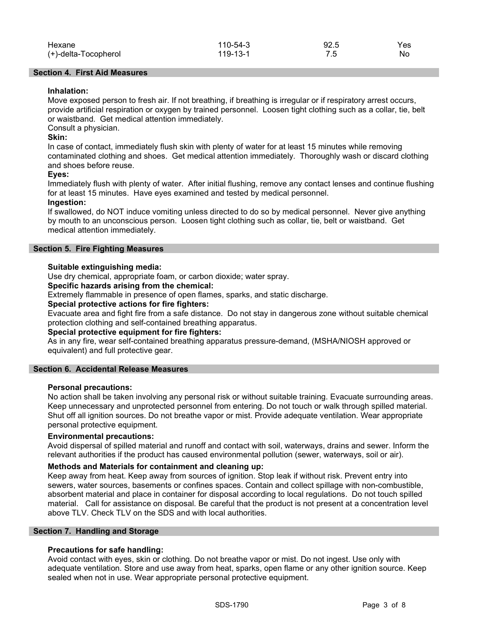| Hexane               | 110-54-3 | 92.5 | Yes |
|----------------------|----------|------|-----|
| (+)-delta-Tocopherol | 119-13-1 | . ب  | No  |

#### Section 4. First Aid Measures

## Inhalation:

Move exposed person to fresh air. If not breathing, if breathing is irregular or if respiratory arrest occurs, provide artificial respiration or oxygen by trained personnel. Loosen tight clothing such as a collar, tie, belt or waistband. Get medical attention immediately.

Consult a physician.

# Skin:

In case of contact, immediately flush skin with plenty of water for at least 15 minutes while removing contaminated clothing and shoes. Get medical attention immediately. Thoroughly wash or discard clothing and shoes before reuse.

#### Eyes:

Immediately flush with plenty of water. After initial flushing, remove any contact lenses and continue flushing for at least 15 minutes. Have eyes examined and tested by medical personnel.

# Ingestion:

If swallowed, do NOT induce vomiting unless directed to do so by medical personnel. Never give anything by mouth to an unconscious person. Loosen tight clothing such as collar, tie, belt or waistband. Get medical attention immediately.

# Section 5. Fire Fighting Measures

#### Suitable extinguishing media:

Use dry chemical, appropriate foam, or carbon dioxide; water spray.

#### Specific hazards arising from the chemical:

Extremely flammable in presence of open flames, sparks, and static discharge.

#### Special protective actions for fire fighters:

Evacuate area and fight fire from a safe distance. Do not stay in dangerous zone without suitable chemical protection clothing and self-contained breathing apparatus.

#### Special protective equipment for fire fighters:

As in any fire, wear self-contained breathing apparatus pressure-demand, (MSHA/NIOSH approved or equivalent) and full protective gear.

# Section 6. Accidental Release Measures

# Personal precautions:

No action shall be taken involving any personal risk or without suitable training. Evacuate surrounding areas. Keep unnecessary and unprotected personnel from entering. Do not touch or walk through spilled material. Shut off all ignition sources. Do not breathe vapor or mist. Provide adequate ventilation. Wear appropriate personal protective equipment.

# Environmental precautions:

Avoid dispersal of spilled material and runoff and contact with soil, waterways, drains and sewer. Inform the relevant authorities if the product has caused environmental pollution (sewer, waterways, soil or air).

# Methods and Materials for containment and cleaning up:

Keep away from heat. Keep away from sources of ignition. Stop leak if without risk. Prevent entry into sewers, water sources, basements or confines spaces. Contain and collect spillage with non-combustible, absorbent material and place in container for disposal according to local regulations. Do not touch spilled material. Call for assistance on disposal. Be careful that the product is not present at a concentration level above TLV. Check TLV on the SDS and with local authorities.

# Section 7. Handling and Storage

# Precautions for safe handling:

Avoid contact with eyes, skin or clothing. Do not breathe vapor or mist. Do not ingest. Use only with adequate ventilation. Store and use away from heat, sparks, open flame or any other ignition source. Keep sealed when not in use. Wear appropriate personal protective equipment.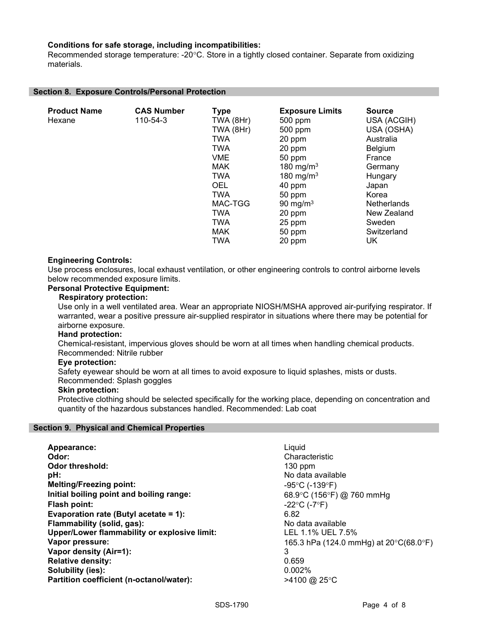# Conditions for safe storage, including incompatibilities:

Recommended storage temperature: -20°C. Store in a tightly closed container. Separate from oxidizing materials.

#### Section 8. Exposure Controls/Personal Protection

| <b>Product Name</b><br>Hexane | <b>CAS Number</b><br>110-54-3 | <b>Type</b><br>TWA (8Hr)<br>TWA (8Hr)<br><b>TWA</b><br><b>TWA</b><br><b>VME</b><br><b>MAK</b><br><b>TWA</b><br><b>OEL</b><br><b>TWA</b><br>MAC-TGG<br><b>TWA</b> | <b>Exposure Limits</b><br>500 ppm<br>500 ppm<br>20 ppm<br>20 ppm<br>50 ppm<br>180 mg/m $3$<br>180 mg/m $3$<br>40 ppm<br>50 ppm<br>90 mg/m $3$<br>20 ppm | <b>Source</b><br>USA (ACGIH)<br>USA (OSHA)<br>Australia<br>Belgium<br>France<br>Germany<br>Hungary<br>Japan<br>Korea<br><b>Netherlands</b><br>New Zealand |
|-------------------------------|-------------------------------|------------------------------------------------------------------------------------------------------------------------------------------------------------------|---------------------------------------------------------------------------------------------------------------------------------------------------------|-----------------------------------------------------------------------------------------------------------------------------------------------------------|
|                               |                               | <b>TWA</b><br>MAK                                                                                                                                                | 25 ppm<br>50 ppm                                                                                                                                        | Sweden<br>Switzerland                                                                                                                                     |
|                               |                               | <b>TWA</b>                                                                                                                                                       | 20 ppm                                                                                                                                                  | UK                                                                                                                                                        |

#### Engineering Controls:

Use process enclosures, local exhaust ventilation, or other engineering controls to control airborne levels below recommended exposure limits.

# Personal Protective Equipment:

#### Respiratory protection:

Use only in a well ventilated area. Wear an appropriate NIOSH/MSHA approved air-purifying respirator. If warranted, wear a positive pressure air-supplied respirator in situations where there may be potential for airborne exposure.

# Hand protection:

Chemical-resistant, impervious gloves should be worn at all times when handling chemical products. Recommended: Nitrile rubber

# Eye protection:

Safety eyewear should be worn at all times to avoid exposure to liquid splashes, mists or dusts.

# Recommended: Splash goggles

# Skin protection:

Protective clothing should be selected specifically for the working place, depending on concentration and quantity of the hazardous substances handled. Recommended: Lab coat

## Section 9. Physical and Chemical Properties

| Appearance:                                  | Liauid              |
|----------------------------------------------|---------------------|
| Odor:                                        | Characte            |
| <b>Odor threshold:</b>                       | $130$ ppm           |
| pH:                                          | No data             |
| <b>Melting/Freezing point:</b>               | $-95^{\circ}$ C (-1 |
| Initial boiling point and boiling range:     | 68.9 $\degree$ C (  |
| Flash point:                                 | $-22^{\circ}$ C (-7 |
| Evaporation rate (Butyl acetate = 1):        | 6.82                |
| Flammability (solid, gas):                   | No data             |
| Upper/Lower flammability or explosive limit: | LEL 1.19            |
| Vapor pressure:                              | 165.3 hF            |
| Vapor density (Air=1):                       | 3                   |
| <b>Relative density:</b>                     | 0.659               |
| Solubility (ies):                            | $0.002\%$           |
| Partition coefficient (n-octanol/water):     | >4100 @             |

Characteristic  $130$  ppm No data available -95°C (-139°F)  $68.9^{\circ}$ C (156 $^{\circ}$ F) @ 760 mmHg  $-22^{\circ}$ C (-7 $^{\circ}$ F) No data available LEL 1.1% UEL 7.5% 165.3 hPa (124.0 mmHg) at  $20^{\circ}C(68.0^{\circ}F)$  $>4100$  @ 25°C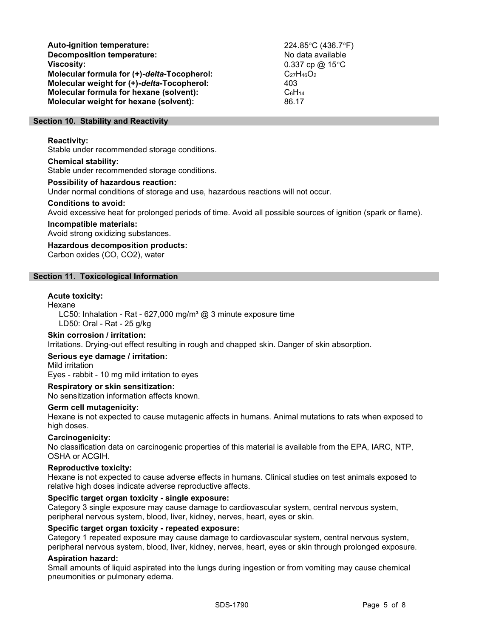Auto-ignition temperature: 224.85°C (436.7°F) Decomposition temperature: No data available **Viscosity:**  $0.337$  cp  $@$  15°C Molecular formula for  $(+)$ -delta-Tocopherol:  $C_{27}H_{46}O_2$ Molecular weight for (+)-delta-Tocopherol: 403 Molecular formula for hexane (solvent):  $C_6H_{14}$ Molecular weight for hexane (solvent): 86.17

### Section 10. Stability and Reactivity

#### Reactivity:

Stable under recommended storage conditions.

#### Chemical stability:

Stable under recommended storage conditions.

#### Possibility of hazardous reaction:

Under normal conditions of storage and use, hazardous reactions will not occur.

#### Conditions to avoid:

Avoid excessive heat for prolonged periods of time. Avoid all possible sources of ignition (spark or flame).

#### Incompatible materials:

Avoid strong oxidizing substances.

Hazardous decomposition products:

Carbon oxides (CO, CO2), water

#### Section 11. Toxicological Information

# Acute toxicity:

Hexane

LC50: Inhalation - Rat - 627,000 mg/m<sup>3</sup> @ 3 minute exposure time LD50: Oral - Rat - 25 g/kg

# Skin corrosion / irritation:

Irritations. Drying-out effect resulting in rough and chapped skin. Danger of skin absorption.

#### Serious eye damage / irritation:

Mild irritation Eyes - rabbit - 10 mg mild irritation to eyes

# Respiratory or skin sensitization:

No sensitization information affects known.

#### Germ cell mutagenicity:

Hexane is not expected to cause mutagenic affects in humans. Animal mutations to rats when exposed to high doses.

#### Carcinogenicity:

No classification data on carcinogenic properties of this material is available from the EPA, IARC, NTP, OSHA or ACGIH.

#### Reproductive toxicity:

Hexane is not expected to cause adverse effects in humans. Clinical studies on test animals exposed to relative high doses indicate adverse reproductive affects.

# Specific target organ toxicity - single exposure:

Category 3 single exposure may cause damage to cardiovascular system, central nervous system, peripheral nervous system, blood, liver, kidney, nerves, heart, eyes or skin.

## Specific target organ toxicity - repeated exposure:

Category 1 repeated exposure may cause damage to cardiovascular system, central nervous system,

peripheral nervous system, blood, liver, kidney, nerves, heart, eyes or skin through prolonged exposure. Aspiration hazard:

Small amounts of liquid aspirated into the lungs during ingestion or from vomiting may cause chemical pneumonities or pulmonary edema.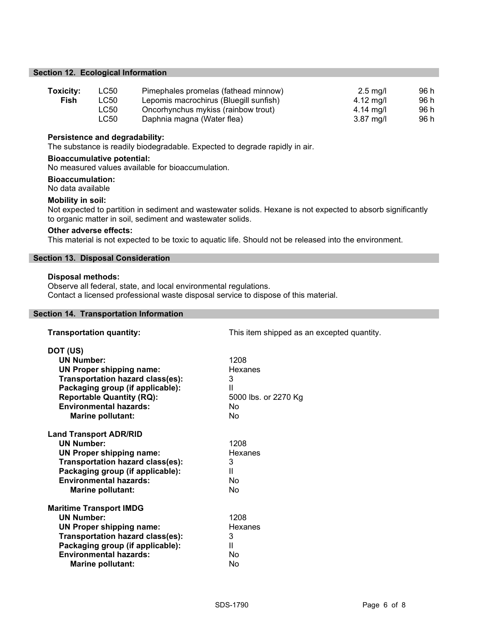#### Section 12. Ecological Information

| Toxicity: | LC50 | Pimephales promelas (fathead minnow)   | $2.5 \text{ m}$ g/l | 96 h |
|-----------|------|----------------------------------------|---------------------|------|
| Fish      | LC50 | Lepomis macrochirus (Bluegill sunfish) | 4.12 mg/l           | 96 h |
|           | LC50 | Oncorhynchus mykiss (rainbow trout)    | 4.14 mg/l           | 96 h |
|           | LC50 | Daphnia magna (Water flea)             | 3.87 mg/l           | 96 h |

#### Persistence and degradability:

The substance is readily biodegradable. Expected to degrade rapidly in air.

# Bioaccumulative potential:

No measured values available for bioaccumulation.

## Bioaccumulation:

No data available

#### Mobility in soil:

Not expected to partition in sediment and wastewater solids. Hexane is not expected to absorb significantly to organic matter in soil, sediment and wastewater solids.

# Other adverse effects:

This material is not expected to be toxic to aquatic life. Should not be released into the environment.

#### Section 13. Disposal Consideration

#### Disposal methods:

Observe all federal, state, and local environmental regulations. Contact a licensed professional waste disposal service to dispose of this material.

#### Section 14. Transportation Information

**Transportation quantity:** This item shipped as an excepted quantity.

| DOT (US)                         |                      |
|----------------------------------|----------------------|
| <b>UN Number:</b>                | 1208                 |
| UN Proper shipping name:         | Hexanes              |
| Transportation hazard class(es): | 3                    |
| Packaging group (if applicable): | Ш                    |
| <b>Reportable Quantity (RQ):</b> | 5000 lbs. or 2270 Kg |
| <b>Environmental hazards:</b>    | No                   |
| <b>Marine pollutant:</b>         | No                   |
| <b>Land Transport ADR/RID</b>    |                      |
| <b>UN Number:</b>                | 1208                 |
| <b>UN Proper shipping name:</b>  | Hexanes              |
| Transportation hazard class(es): | 3                    |
| Packaging group (if applicable): | Ш                    |
| <b>Environmental hazards:</b>    | No                   |
| <b>Marine pollutant:</b>         | No                   |
| <b>Maritime Transport IMDG</b>   |                      |
| <b>UN Number:</b>                | 1208                 |
| <b>UN Proper shipping name:</b>  | Hexanes              |
| Transportation hazard class(es): | 3                    |
| Packaging group (if applicable): | Ш                    |
| <b>Environmental hazards:</b>    | No                   |
| <b>Marine pollutant:</b>         | No                   |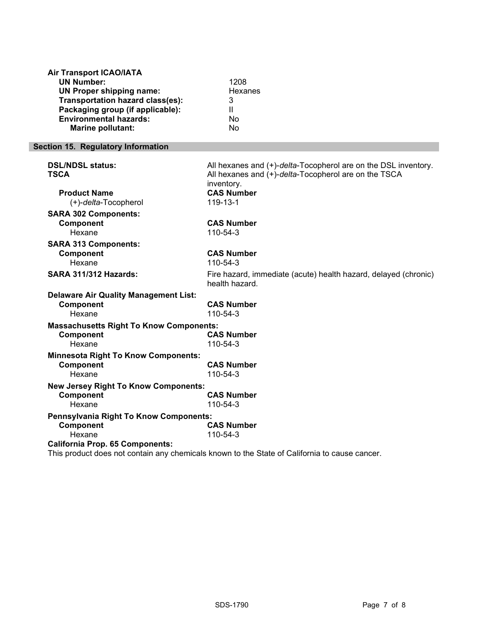| <b>Air Transport ICAO/IATA</b><br><b>UN Number:</b><br><b>UN Proper shipping name:</b><br><b>Transportation hazard class(es):</b><br>Packaging group (if applicable):<br><b>Environmental hazards:</b><br>Marine pollutant: | 1208<br>Hexanes<br>3<br>Ш<br><b>No</b><br><b>No</b>                                                                                  |
|-----------------------------------------------------------------------------------------------------------------------------------------------------------------------------------------------------------------------------|--------------------------------------------------------------------------------------------------------------------------------------|
| Section 15. Regulatory Information                                                                                                                                                                                          |                                                                                                                                      |
| <b>DSL/NDSL status:</b><br><b>TSCA</b>                                                                                                                                                                                      | All hexanes and (+)-delta-Tocopherol are on the DSL inventory.<br>All hexanes and (+)-delta-Tocopherol are on the TSCA<br>inventory. |
| <b>Product Name</b><br>(+)-delta-Tocopherol                                                                                                                                                                                 | <b>CAS Number</b><br>119-13-1                                                                                                        |
| <b>SARA 302 Components:</b><br>Component<br>Hexane                                                                                                                                                                          | <b>CAS Number</b><br>110-54-3                                                                                                        |
| <b>SARA 313 Components:</b><br>Component<br>Hexane                                                                                                                                                                          | <b>CAS Number</b><br>110-54-3                                                                                                        |
| <b>SARA 311/312 Hazards:</b>                                                                                                                                                                                                | Fire hazard, immediate (acute) health hazard, delayed (chronic)<br>health hazard.                                                    |
| <b>Delaware Air Quality Management List:</b><br>Component<br>Hexane                                                                                                                                                         | <b>CAS Number</b><br>110-54-3                                                                                                        |
| <b>Massachusetts Right To Know Components:</b><br>Component<br>Hexane                                                                                                                                                       | <b>CAS Number</b><br>110-54-3                                                                                                        |
| <b>Minnesota Right To Know Components:</b><br><b>Component</b><br>Hexane                                                                                                                                                    | <b>CAS Number</b><br>110-54-3                                                                                                        |
| <b>New Jersey Right To Know Components:</b><br>Component<br>Hexane                                                                                                                                                          | <b>CAS Number</b><br>110-54-3                                                                                                        |
| Pennsylvania Right To Know Components:<br><b>Component</b><br>Hexane<br><b>California Prop. 65 Components:</b>                                                                                                              | <b>CAS Number</b><br>110-54-3<br>This product does not contain any chemicals known to the State of California to cause cancer.       |